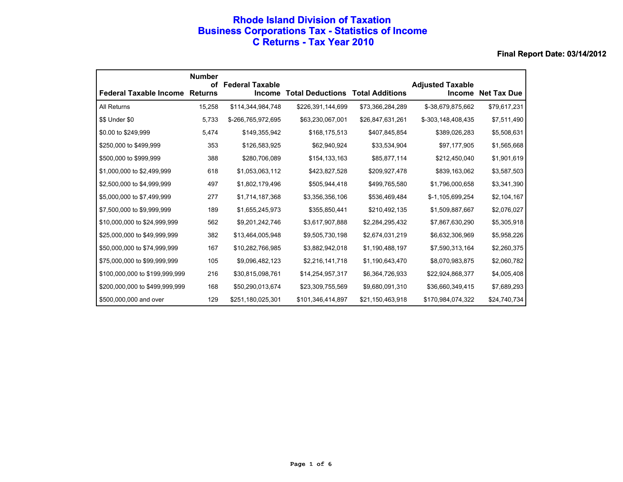### **Rhode Island Division of Taxation Business Corporations Tax - Statistics of Income C Returns - Tax Year 2010**

|                                | <b>Number</b><br>οf | <b>Federal Taxable</b> |                         |                        | <b>Adjusted Taxable</b> |                    |
|--------------------------------|---------------------|------------------------|-------------------------|------------------------|-------------------------|--------------------|
| <b>Federal Taxable Income</b>  | <b>Returns</b>      | <b>Income</b>          | <b>Total Deductions</b> | <b>Total Additions</b> | <b>Income</b>           | <b>Net Tax Due</b> |
| All Returns                    | 15,258              | \$114,344,984,748      | \$226,391,144,699       | \$73,366,284,289       | \$-38,679,875,662       | \$79,617,231       |
| \$\$ Under \$0                 | 5,733               | \$-266,765,972,695     | \$63,230,067,001        | \$26,847,631,261       | \$-303,148,408,435      | \$7,511,490        |
| \$0.00 to \$249,999            | 5,474               | \$149,355,942          | \$168,175,513           | \$407,845,854          | \$389,026,283           | \$5,508,631        |
| \$250,000 to \$499,999         | 353                 | \$126,583,925          | \$62,940,924            | \$33,534,904           | \$97,177,905            | \$1,565,668        |
| \$500,000 to \$999,999         | 388                 | \$280,706,089          | \$154,133,163           | \$85,877,114           | \$212,450,040           | \$1,901,619        |
| \$1,000,000 to \$2,499,999     | 618                 | \$1,053,063,112        | \$423,827,528           | \$209,927,478          | \$839,163,062           | \$3,587,503        |
| \$2,500,000 to \$4,999,999     | 497                 | \$1,802,179,496        | \$505,944,418           | \$499,765,580          | \$1,796,000,658         | \$3,341,390        |
| \$5,000,000 to \$7,499,999     | 277                 | \$1,714,187,368        | \$3,356,356,106         | \$536,469,484          | \$-1,105,699,254        | \$2,104,167        |
| \$7,500,000 to \$9,999,999     | 189                 | \$1,655,245,973        | \$355,850,441           | \$210,492,135          | \$1,509,887,667         | \$2,076,027        |
| \$10,000,000 to \$24,999,999   | 562                 | \$9,201,242,746        | \$3,617,907,888         | \$2,284,295,432        | \$7,867,630,290         | \$5,305,918        |
| \$25,000,000 to \$49,999,999   | 382                 | \$13,464,005,948       | \$9,505,730,198         | \$2,674,031,219        | \$6,632,306,969         | \$5,958,226        |
| \$50,000,000 to \$74,999,999   | 167                 | \$10,282,766,985       | \$3,882,942,018         | \$1,190,488,197        | \$7,590,313,164         | \$2,260,375        |
| \$75,000,000 to \$99,999,999   | 105                 | \$9,096,482,123        | \$2,216,141,718         | \$1,190,643,470        | \$8,070,983,875         | \$2,060,782        |
| \$100,000,000 to \$199,999,999 | 216                 | \$30,815,098,761       | \$14,254,957,317        | \$6,364,726,933        | \$22,924,868,377        | \$4,005,408        |
| \$200,000,000 to \$499,999,999 | 168                 | \$50,290,013,674       | \$23,309,755,569        | \$9,680,091,310        | \$36,660,349,415        | \$7,689,293        |
| \$500,000,000 and over         | 129                 | \$251,180,025,301      | \$101,346,414,897       | \$21,150,463,918       | \$170,984,074,322       | \$24,740,734       |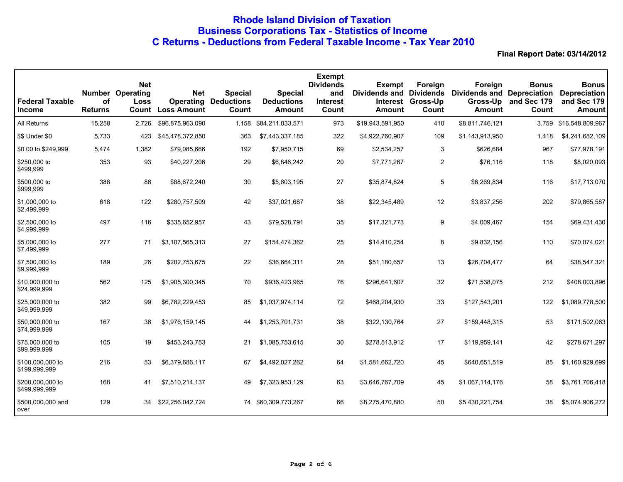# **Rhode Island Division of Taxation Business Corporations Tax - Statistics of Income C Returns - Deductions from Federal Taxable Income - Tax Year 2010**

| <b>Federal Taxable</b><br><b>Income</b> | <b>Number</b><br>οf<br><b>Returns</b> | <b>Net</b><br>Operating<br>Loss<br>Count | <b>Net</b><br><b>Operating</b><br><b>Loss Amount</b> | <b>Special</b><br><b>Deductions</b><br>Count | <b>Special</b><br><b>Deductions</b><br>Amount | <b>Exempt</b><br><b>Dividends</b><br>and<br><b>Interest</b><br>Count | <b>Exempt</b><br><b>Dividends and Dividends</b><br><b>Interest</b><br><b>Amount</b> | Foreign<br>Gross-Up<br>Count | Foreign<br><b>Dividends and Depreciation</b><br>Gross-Up<br><b>Amount</b> | <b>Bonus</b><br>and Sec 179<br>Count | <b>Bonus</b><br><b>Depreciation</b><br>and Sec 179<br><b>Amount</b> |
|-----------------------------------------|---------------------------------------|------------------------------------------|------------------------------------------------------|----------------------------------------------|-----------------------------------------------|----------------------------------------------------------------------|-------------------------------------------------------------------------------------|------------------------------|---------------------------------------------------------------------------|--------------------------------------|---------------------------------------------------------------------|
| All Returns                             | 15,258                                | 2,726                                    | \$96,875,963,090                                     | 1,158                                        | \$84,211,033,571                              | 973                                                                  | \$19,943,591,950                                                                    | 410                          | \$8,811,746,121                                                           | 3,759                                | \$16,548,809,967                                                    |
| \$\$ Under \$0                          | 5,733                                 | 423                                      | \$45,478,372,850                                     | 363                                          | \$7,443,337,185                               | 322                                                                  | \$4,922,760,907                                                                     | 109                          | \$1,143,913,950                                                           | 1,418                                | \$4,241,682,109                                                     |
| \$0.00 to \$249,999                     | 5,474                                 | 1,382                                    | \$79,085,666                                         | 192                                          | \$7,950,715                                   | 69                                                                   | \$2,534,257                                                                         | 3                            | \$626,684                                                                 | 967                                  | \$77,978,191                                                        |
| \$250,000 to<br>\$499,999               | 353                                   | 93                                       | \$40,227,206                                         | 29                                           | \$6,846,242                                   | 20                                                                   | \$7,771,267                                                                         | $\mathbf{2}$                 | \$76,116                                                                  | 118                                  | \$8,020,093                                                         |
| \$500,000 to<br>\$999,999               | 388                                   | 86                                       | \$88,672,240                                         | 30                                           | \$5,603,195                                   | 27                                                                   | \$35,874,824                                                                        | 5                            | \$6,269,834                                                               | 116                                  | \$17,713,070                                                        |
| \$1,000,000 to<br>\$2,499,999           | 618                                   | 122                                      | \$280,757,509                                        | 42                                           | \$37,021,687                                  | 38                                                                   | \$22,345,489                                                                        | 12                           | \$3,837,256                                                               | 202                                  | \$79,865,587                                                        |
| \$2,500,000 to<br>\$4,999,999           | 497                                   | 116                                      | \$335,652,957                                        | 43                                           | \$79,528,791                                  | 35                                                                   | \$17,321,773                                                                        | 9                            | \$4,009,467                                                               | 154                                  | \$69,431,430                                                        |
| \$5,000,000 to<br>\$7,499,999           | 277                                   | 71                                       | \$3,107,565,313                                      | 27                                           | \$154,474,362                                 | 25                                                                   | \$14,410,254                                                                        | 8                            | \$9,832,156                                                               | 110                                  | \$70,074,021                                                        |
| \$7,500,000 to<br>\$9,999,999           | 189                                   | 26                                       | \$202,753,675                                        | 22                                           | \$36,664,311                                  | 28                                                                   | \$51,180,657                                                                        | 13                           | \$26,704,477                                                              | 64                                   | \$38,547,321                                                        |
| \$10,000,000 to<br>\$24,999,999         | 562                                   | 125                                      | \$1,905,300,345                                      | 70                                           | \$936,423,965                                 | 76                                                                   | \$296,641,607                                                                       | 32                           | \$71,538,075                                                              | 212                                  | \$408,003,896                                                       |
| \$25,000,000 to<br>\$49,999,999         | 382                                   | 99                                       | \$6,782,229,453                                      | 85                                           | \$1,037,974,114                               | 72                                                                   | \$468,204,930                                                                       | 33                           | \$127,543,201                                                             | 122                                  | \$1,089,778,500                                                     |
| \$50,000,000 to<br>\$74,999,999         | 167                                   | 36                                       | \$1,976,159,145                                      | 44                                           | \$1,253,701,731                               | 38                                                                   | \$322,130,764                                                                       | 27                           | \$159,448,315                                                             | 53                                   | \$171,502,063                                                       |
| \$75,000,000 to<br>\$99,999,999         | 105                                   | 19                                       | \$453,243,753                                        | 21                                           | \$1,085,753,615                               | 30                                                                   | \$278,513,912                                                                       | 17                           | \$119,959,141                                                             | 42                                   | \$278,671,297                                                       |
| \$100,000,000 to<br>\$199,999,999       | 216                                   | 53                                       | \$6,379,686,117                                      | 67                                           | \$4,492,027,262                               | 64                                                                   | \$1,581,662,720                                                                     | 45                           | \$640,651,519                                                             | 85                                   | \$1,160,929,699                                                     |
| \$200,000,000 to<br>\$499,999,999       | 168                                   | 41                                       | \$7,510,214,137                                      | 49                                           | \$7,323,953,129                               | 63                                                                   | \$3,646,767,709                                                                     | 45                           | \$1,067,114,176                                                           | 58                                   | \$3,761,706,418                                                     |
| \$500,000,000 and<br>over               | 129                                   | 34                                       | \$22,256,042,724                                     | 74                                           | \$60,309,773,267                              | 66                                                                   | \$8,275,470,880                                                                     | 50                           | \$5,430,221,754                                                           | 38                                   | \$5,074,906,272                                                     |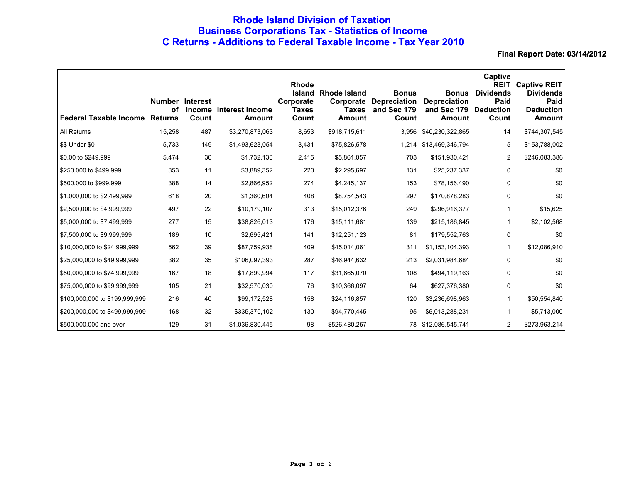# **Rhode Island Division of Taxation Business Corporations Tax - Statistics of Income C Returns - Additions to Federal Taxable Income - Tax Year 2010**

| <b>Federal Taxable Income</b>  | <b>Number Interest</b><br>Οf<br><b>Returns</b> | <b>Income</b><br>Count | Interest Income<br>Amount | Rhode<br><b>Island</b><br>Corporate<br>Taxes<br>Count | <b>Rhode Island</b><br><b>Taxes</b><br>Amount | <b>Bonus</b><br><b>Corporate Depreciation</b><br>and Sec 179<br>Count | <b>Bonus</b><br><b>Depreciation</b><br>and Sec 179<br><b>Amount</b> | Captive<br><b>REIT</b><br><b>Dividends</b><br>Paid<br><b>Deduction</b><br>Count | <b>Captive REIT</b><br><b>Dividends</b><br>Paid<br><b>Deduction</b><br><b>Amount</b> |
|--------------------------------|------------------------------------------------|------------------------|---------------------------|-------------------------------------------------------|-----------------------------------------------|-----------------------------------------------------------------------|---------------------------------------------------------------------|---------------------------------------------------------------------------------|--------------------------------------------------------------------------------------|
| All Returns                    | 15,258                                         | 487                    | \$3,270,873,063           | 8,653                                                 | \$918,715,611                                 | 3,956                                                                 | \$40,230,322,865                                                    | 14                                                                              | \$744,307,545                                                                        |
| \$\$ Under \$0                 | 5,733                                          | 149                    | \$1,493,623,054           | 3,431                                                 | \$75,826,578                                  | 1,214                                                                 | \$13,469,346,794                                                    | 5                                                                               | \$153,788,002                                                                        |
| \$0.00 to \$249,999            | 5,474                                          | 30                     | \$1,732,130               | 2,415                                                 | \$5,861,057                                   | 703                                                                   | \$151,930,421                                                       | $\overline{2}$                                                                  | \$246,083,386                                                                        |
| \$250,000 to \$499,999         | 353                                            | 11                     | \$3,889,352               | 220                                                   | \$2,295,697                                   | 131                                                                   | \$25,237,337                                                        | $\mathbf 0$                                                                     | \$0                                                                                  |
| \$500,000 to \$999,999         | 388                                            | 14                     | \$2,866,952               | 274                                                   | \$4,245,137                                   | 153                                                                   | \$78,156,490                                                        | 0                                                                               | \$0                                                                                  |
| \$1,000,000 to \$2,499,999     | 618                                            | 20                     | \$1,360,604               | 408                                                   | \$8,754,543                                   | 297                                                                   | \$170,878,283                                                       | 0                                                                               | \$0                                                                                  |
| \$2,500,000 to \$4,999,999     | 497                                            | 22                     | \$10,179,107              | 313                                                   | \$15,012,376                                  | 249                                                                   | \$296,916,377                                                       | 1                                                                               | \$15,625                                                                             |
| \$5,000,000 to \$7,499,999     | 277                                            | 15                     | \$38,826,013              | 176                                                   | \$15,111,681                                  | 139                                                                   | \$215,186,845                                                       | 1                                                                               | \$2,102,568                                                                          |
| \$7,500,000 to \$9,999,999     | 189                                            | 10                     | \$2,695,421               | 141                                                   | \$12,251,123                                  | 81                                                                    | \$179,552,763                                                       | 0                                                                               | \$0                                                                                  |
| \$10,000,000 to \$24,999,999   | 562                                            | 39                     | \$87,759,938              | 409                                                   | \$45,014,061                                  | 311                                                                   | \$1,153,104,393                                                     | 1                                                                               | \$12,086,910                                                                         |
| \$25,000,000 to \$49,999,999   | 382                                            | 35                     | \$106,097,393             | 287                                                   | \$46,944,632                                  | 213                                                                   | \$2,031,984,684                                                     | 0                                                                               | \$0                                                                                  |
| \$50,000,000 to \$74,999,999   | 167                                            | 18                     | \$17,899,994              | 117                                                   | \$31,665,070                                  | 108                                                                   | \$494,119,163                                                       | 0                                                                               | \$0                                                                                  |
| \$75,000,000 to \$99,999,999   | 105                                            | 21                     | \$32,570,030              | 76                                                    | \$10,366,097                                  | 64                                                                    | \$627,376,380                                                       | 0                                                                               | \$0                                                                                  |
| \$100,000,000 to \$199,999,999 | 216                                            | 40                     | \$99,172,528              | 158                                                   | \$24,116,857                                  | 120                                                                   | \$3,236,698,963                                                     | 1                                                                               | \$50,554,840                                                                         |
| \$200,000,000 to \$499,999,999 | 168                                            | 32                     | \$335,370,102             | 130                                                   | \$94,770,445                                  | 95                                                                    | \$6,013,288,231                                                     | 1                                                                               | \$5,713,000                                                                          |
| \$500,000,000 and over         | 129                                            | 31                     | \$1,036,830,445           | 98                                                    | \$526,480,257                                 | 78                                                                    | \$12,086,545,741                                                    | $\overline{2}$                                                                  | \$273,963,214                                                                        |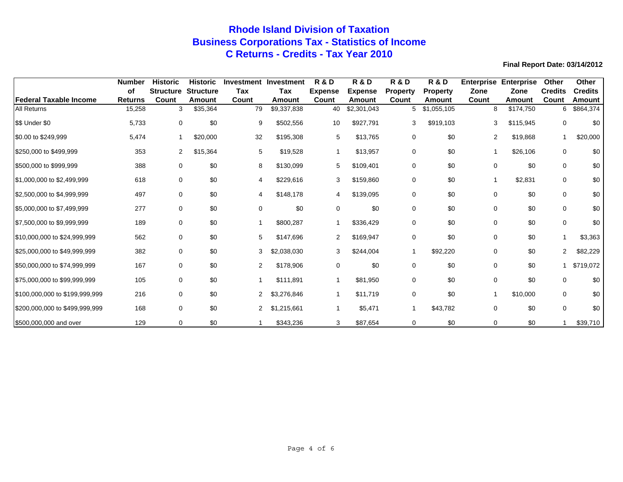# **Rhode Island Division of Taxation Business Corporations Tax - Statistics of Income C Returns - Credits - Tax Year 2010**

|                                | <b>Number</b>        | <b>Historic</b>           | <b>Historic</b>            |                | <b>Investment Investment</b> | <b>R &amp; D</b>        | <b>R&amp;D</b>           | <b>R &amp; D</b>         | <b>R &amp; D</b>          | <b>Enterprise</b> | <b>Enterprise</b> | Other                   | <b>Other</b>             |
|--------------------------------|----------------------|---------------------------|----------------------------|----------------|------------------------------|-------------------------|--------------------------|--------------------------|---------------------------|-------------------|-------------------|-------------------------|--------------------------|
| Federal Taxable Income         | оf<br><b>Returns</b> | <b>Structure</b><br>Count | <b>Structure</b><br>Amount | Tax<br>Count   | Tax<br>Amount                | <b>Expense</b><br>Count | <b>Expense</b><br>Amount | <b>Property</b><br>Count | <b>Property</b><br>Amount | Zone<br>Count     | Zone<br>Amount    | <b>Credits</b><br>Count | <b>Credits</b><br>Amount |
| <b>All Returns</b>             | 15,258               | 3                         | \$35,364                   | 79             | \$9,337,838                  | 40                      | \$2,301,043              | 5                        | \$1,055,105               | 8                 | \$174,750         | 6                       | \$864,374                |
| \$\$ Under \$0                 | 5,733                | $\mathbf 0$               | \$0                        | 9              | \$502,556                    | 10                      | \$927,791                | 3                        | \$919,103                 | 3                 | \$115,945         | 0                       | \$0                      |
| \$0.00 to \$249,999            | 5,474                | 1                         | \$20,000                   | 32             | \$195,308                    | 5                       | \$13,765                 | 0                        | \$0                       | 2                 | \$19,868          |                         | \$20,000                 |
| \$250,000 to \$499,999         | 353                  | $\overline{2}$            | \$15,364                   | 5              | \$19,528                     | $\mathbf 1$             | \$13,957                 | 0                        | \$0                       | 1                 | \$26,106          | 0                       | \$0                      |
| \$500,000 to \$999,999         | 388                  | $\mathbf 0$               | \$0                        | 8              | \$130,099                    | 5                       | \$109,401                | $\mathbf 0$              | \$0                       | 0                 | \$0               | 0                       | \$0                      |
| \$1,000,000 to \$2,499,999     | 618                  | $\mathbf 0$               | \$0                        | 4              | \$229,616                    | 3                       | \$159,860                | $\Omega$                 | \$0                       |                   | \$2,831           | 0                       | \$0                      |
| \$2,500,000 to \$4,999,999     | 497                  | $\mathbf 0$               | \$0                        | 4              | \$148,178                    | 4                       | \$139,095                | 0                        | \$0                       | $\mathbf 0$       | \$0               | 0                       | \$0                      |
| \$5,000,000 to \$7,499,999     | 277                  | 0                         | \$0                        | 0              | \$0                          | 0                       | \$0                      | 0                        | \$0                       | 0                 | \$0               | 0                       | \$0                      |
| \$7,500,000 to \$9,999,999     | 189                  | $\mathbf 0$               | \$0                        |                | \$800,287                    |                         | \$336,429                | 0                        | \$0                       | $\mathbf 0$       | \$0               | 0                       | \$0                      |
| \$10,000,000 to \$24,999,999   | 562                  | 0                         | \$0                        | 5              | \$147,696                    | 2                       | \$169,947                | 0                        | \$0                       | 0                 | \$0               |                         | \$3,363                  |
| \$25,000,000 to \$49,999,999   | 382                  | 0                         | \$0                        | 3              | \$2,038,030                  | 3                       | \$244,004                |                          | \$92,220                  | 0                 | \$0               | $\overline{2}$          | \$82,229                 |
| \$50,000,000 to \$74,999,999   | 167                  | $\mathbf 0$               | \$0                        | $\overline{2}$ | \$178,906                    | 0                       | \$0                      | 0                        | \$0                       | 0                 | \$0               |                         | \$719,072                |
| \$75,000,000 to \$99,999,999   | 105                  | $\mathbf 0$               | \$0                        |                | \$111,891                    |                         | \$81,950                 | 0                        | \$0                       | 0                 | \$0               | 0                       | \$0                      |
| \$100,000,000 to \$199,999,999 | 216                  | $\mathbf 0$               | \$0                        | 2              | \$3,276,846                  | 1                       | \$11,719                 | 0                        | \$0                       |                   | \$10,000          | 0                       | \$0                      |
| \$200,000,000 to \$499,999,999 | 168                  | 0                         | \$0                        | 2              | \$1,215,661                  |                         | \$5,471                  |                          | \$43,782                  | 0                 | \$0               | 0                       | \$0                      |
| \$500,000,000 and over         | 129                  | 0                         | \$0                        |                | \$343,236                    | 3                       | \$87,654                 | 0                        | \$0                       | 0                 | \$0               |                         | \$39,710                 |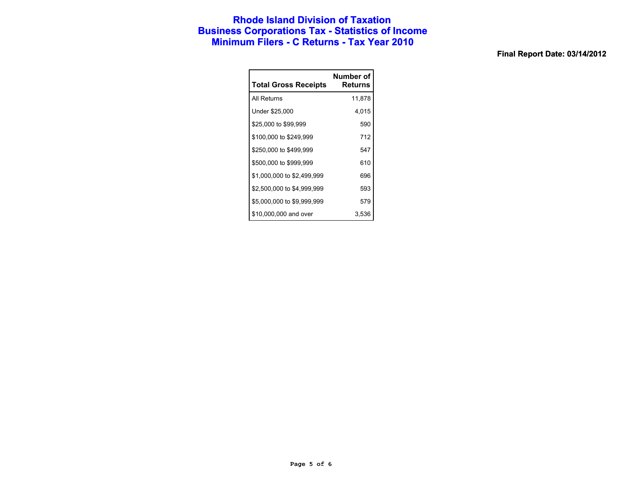### **Rhode Island Division of Taxation Business Corporations Tax - Statistics of Income Minimum Filers - C Returns - Tax Year 2010**

| <b>Total Gross Receipts</b> | Number of<br>Returns |
|-----------------------------|----------------------|
| All Returns                 | 11,878               |
| Under \$25,000              | 4,015                |
| \$25,000 to \$99,999        | 590                  |
| \$100,000 to \$249,999      | 712                  |
| \$250,000 to \$499,999      | 547                  |
| \$500,000 to \$999,999      | 610                  |
| \$1,000,000 to \$2,499,999  | 696                  |
| \$2,500,000 to \$4,999,999  | 593                  |
| \$5,000,000 to \$9,999,999  | 579                  |
| \$10,000,000 and over       | 3.536                |